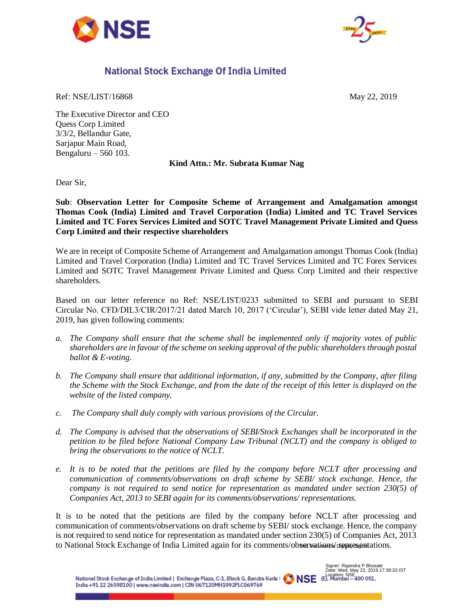



## National Stock Exchange Of India Limited

Ref: NSE/LIST/16868 May 22, 2019

The Executive Director and CEO Quess Corp Limited 3/3/2, Bellandur Gate, Sarjapur Main Road, Bengaluru – 560 103.

**Kind Attn.: Mr. Subrata Kumar Nag** 

Dear Sir,

**Sub**: **Observation Letter for Composite Scheme of Arrangement and Amalgamation amongst Thomas Cook (India) Limited and Travel Corporation (India) Limited and TC Travel Services Limited and TC Forex Services Limited and SOTC Travel Management Private Limited and Quess Corp Limited and their respective shareholders** 

We are in receipt of Composite Scheme of Arrangement and Amalgamation amongst Thomas Cook (India) Limited and Travel Corporation (India) Limited and TC Travel Services Limited and TC Forex Services Limited and SOTC Travel Management Private Limited and Quess Corp Limited and their respective shareholders.

Based on our letter reference no Ref: NSE/LIST/0233 submitted to SEBI and pursuant to SEBI Circular No. CFD/DIL3/CIR/2017/21 dated March 10, 2017 ('Circular'), SEBI vide letter dated May 21, 2019, has given following comments:

- *a. The Company shall ensure that the scheme shall be implemented only if majority votes of public shareholders are in favour of the scheme on seeking approval of the public shareholders through postal ballot & E-voting.*
- *b. The Company shall ensure that additional information, if any, submitted by the Company, after filing the Scheme with the Stock Exchange, and from the date of the receipt of this letter is displayed on the website of the listed company.*
- *c. The Company shall duly comply with various provisions of the Circular.*
- *d. The Company is advised that the observations of SEBI/Stock Exchanges shall be incorporated in the petition to be filed before National Company Law Tribunal (NCLT) and the company is obliged to bring the observations to the notice of NCLT.*
- *e. It is to be noted that the petitions are filed by the company before NCLT after processing and communication of comments/observations on draft scheme by SEBI/ stock exchange. Hence, the company is not required to send notice for representation as mandated under section 230(5) of Companies Act, 2013 to SEBI again for its comments/observations/ representations.*

It is to be noted that the petitions are filed by the company before NCLT after processing and communication of comments/observations on draft scheme by SEBI/ stock exchange. Hence, the company is not required to send notice for representation as mandated under section 230(5) of Companies Act, 2013 to National Stock Exchange of India Limited again for its comments/observations/ representations.